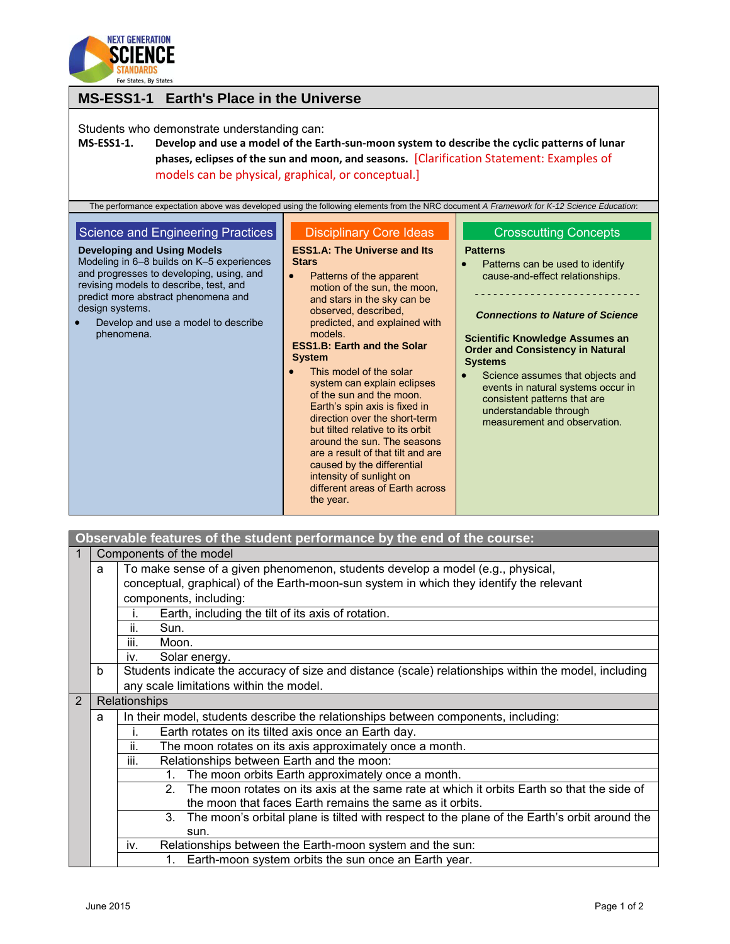

| <b>MS-ESS1-1 Earth's Place in the Universe</b>                                                                                                                                                                                                                                                                            |                                                                                                                                                                                                                                                                                                                                                                                                                                                                                                                                                                                                                                                                                       |                                                                                                                                                                                                                                                                                                                                                                                                                                              |  |  |  |
|---------------------------------------------------------------------------------------------------------------------------------------------------------------------------------------------------------------------------------------------------------------------------------------------------------------------------|---------------------------------------------------------------------------------------------------------------------------------------------------------------------------------------------------------------------------------------------------------------------------------------------------------------------------------------------------------------------------------------------------------------------------------------------------------------------------------------------------------------------------------------------------------------------------------------------------------------------------------------------------------------------------------------|----------------------------------------------------------------------------------------------------------------------------------------------------------------------------------------------------------------------------------------------------------------------------------------------------------------------------------------------------------------------------------------------------------------------------------------------|--|--|--|
| Students who demonstrate understanding can:<br><b>MS-ESS1-1.</b><br>The performance expectation above was developed using the following elements from the NRC document A Framework for K-12 Science Education:                                                                                                            | Develop and use a model of the Earth-sun-moon system to describe the cyclic patterns of lunar<br>phases, eclipses of the sun and moon, and seasons. [Clarification Statement: Examples of<br>models can be physical, graphical, or conceptual.]                                                                                                                                                                                                                                                                                                                                                                                                                                       |                                                                                                                                                                                                                                                                                                                                                                                                                                              |  |  |  |
| Science and Engineering Practices<br><b>Developing and Using Models</b><br>Modeling in 6-8 builds on K-5 experiences<br>and progresses to developing, using, and<br>revising models to describe, test, and<br>predict more abstract phenomena and<br>design systems.<br>Develop and use a model to describe<br>phenomena. | <b>Disciplinary Core Ideas</b><br><b>ESS1.A: The Universe and Its</b><br><b>Stars</b><br>Patterns of the apparent<br>motion of the sun, the moon,<br>and stars in the sky can be<br>observed, described,<br>predicted, and explained with<br>models.<br><b>ESS1.B: Earth and the Solar</b><br><b>System</b><br>This model of the solar<br>system can explain eclipses<br>of the sun and the moon.<br>Earth's spin axis is fixed in<br>direction over the short-term<br>but tilted relative to its orbit<br>around the sun. The seasons<br>are a result of that tilt and are<br>caused by the differential<br>intensity of sunlight on<br>different areas of Earth across<br>the year. | <b>Crosscutting Concepts</b><br><b>Patterns</b><br>Patterns can be used to identify<br>cause-and-effect relationships.<br><b>Connections to Nature of Science</b><br><b>Scientific Knowledge Assumes an</b><br><b>Order and Consistency in Natural</b><br><b>Systems</b><br>Science assumes that objects and<br>events in natural systems occur in<br>consistent patterns that are<br>understandable through<br>measurement and observation. |  |  |  |

|   | Observable features of the student performance by the end of the course: |                                                                                                             |  |  |  |  |
|---|--------------------------------------------------------------------------|-------------------------------------------------------------------------------------------------------------|--|--|--|--|
|   | Components of the model                                                  |                                                                                                             |  |  |  |  |
|   | a                                                                        | To make sense of a given phenomenon, students develop a model (e.g., physical,                              |  |  |  |  |
|   |                                                                          | conceptual, graphical) of the Earth-moon-sun system in which they identify the relevant                     |  |  |  |  |
|   |                                                                          | components, including:                                                                                      |  |  |  |  |
|   |                                                                          | Earth, including the tilt of its axis of rotation.<br>Ť.                                                    |  |  |  |  |
|   |                                                                          | ii.<br>Sun.                                                                                                 |  |  |  |  |
|   |                                                                          | iii.<br>Moon.                                                                                               |  |  |  |  |
|   |                                                                          | Solar energy.<br>iv.                                                                                        |  |  |  |  |
|   | <sub>b</sub>                                                             | Students indicate the accuracy of size and distance (scale) relationships within the model, including       |  |  |  |  |
|   |                                                                          | any scale limitations within the model.                                                                     |  |  |  |  |
| 2 |                                                                          | Relationships                                                                                               |  |  |  |  |
|   | a                                                                        | In their model, students describe the relationships between components, including:                          |  |  |  |  |
|   |                                                                          | Earth rotates on its tilted axis once an Earth day.<br>i.                                                   |  |  |  |  |
|   |                                                                          | The moon rotates on its axis approximately once a month.<br>ii.                                             |  |  |  |  |
|   |                                                                          | iii.<br>Relationships between Earth and the moon:                                                           |  |  |  |  |
|   |                                                                          | The moon orbits Earth approximately once a month.<br>$1_{-}$                                                |  |  |  |  |
|   |                                                                          | The moon rotates on its axis at the same rate at which it orbits Earth so that the side of<br>$\mathcal{P}$ |  |  |  |  |
|   |                                                                          | the moon that faces Earth remains the same as it orbits.                                                    |  |  |  |  |
|   |                                                                          | The moon's orbital plane is tilted with respect to the plane of the Earth's orbit around the<br>3.          |  |  |  |  |
|   |                                                                          | sun.                                                                                                        |  |  |  |  |
|   |                                                                          | Relationships between the Earth-moon system and the sun:<br>iv.                                             |  |  |  |  |
|   |                                                                          | Earth-moon system orbits the sun once an Earth year.<br>1.                                                  |  |  |  |  |